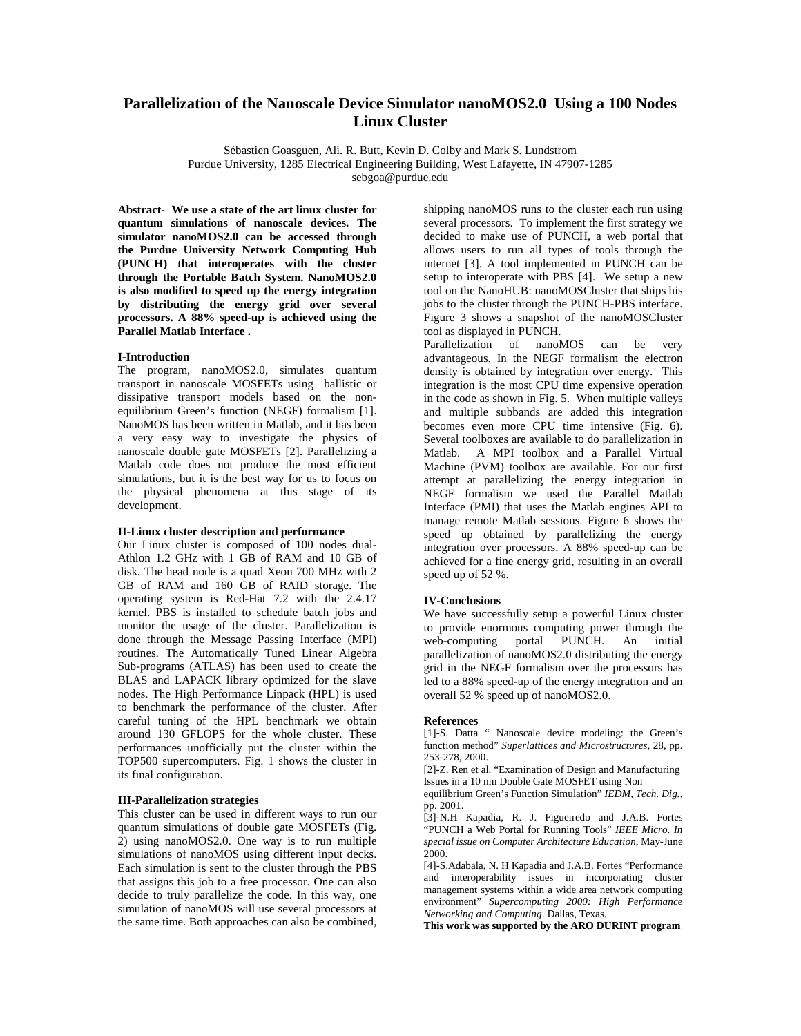# **Parallelization of the Nanoscale Device Simulator nanoMOS2.0 Using a 100 Nodes Linux Cluster**

Sébastien Goasguen, Ali. R. Butt, Kevin D. Colby and Mark S. Lundstrom Purdue University, 1285 Electrical Engineering Building, West Lafayette, IN 47907-1285 sebgoa@purdue.edu

**Abstract- We use a state of the art linux cluster for quantum simulations of nanoscale devices. The simulator nanoMOS2.0 can be accessed through the Purdue University Network Computing Hub (PUNCH) that interoperates with the cluster through the Portable Batch System. NanoMOS2.0 is also modified to speed up the energy integration by distributing the energy grid over several processors. A 88% speed-up is achieved using the Parallel Matlab Interface .** 

### **I-Introduction**

The program, nanoMOS2.0, simulates quantum transport in nanoscale MOSFETs using ballistic or dissipative transport models based on the nonequilibrium Green's function (NEGF) formalism [1]. NanoMOS has been written in Matlab, and it has been a very easy way to investigate the physics of nanoscale double gate MOSFETs [2]. Parallelizing a Matlab code does not produce the most efficient simulations, but it is the best way for us to focus on the physical phenomena at this stage of its development.

## **II-Linux cluster description and performance**

Our Linux cluster is composed of 100 nodes dual-Athlon 1.2 GHz with 1 GB of RAM and 10 GB of disk. The head node is a quad Xeon 700 MHz with 2 GB of RAM and 160 GB of RAID storage. The operating system is Red-Hat 7.2 with the 2.4.17 kernel. PBS is installed to schedule batch jobs and monitor the usage of the cluster. Parallelization is done through the Message Passing Interface (MPI) routines. The Automatically Tuned Linear Algebra Sub-programs (ATLAS) has been used to create the BLAS and LAPACK library optimized for the slave nodes. The High Performance Linpack (HPL) is used to benchmark the performance of the cluster. After careful tuning of the HPL benchmark we obtain around 130 GFLOPS for the whole cluster. These performances unofficially put the cluster within the TOP500 supercomputers. Fig. 1 shows the cluster in its final configuration.

### **III-Parallelization strategies**

This cluster can be used in different ways to run our quantum simulations of double gate MOSFETs (Fig. 2) using nanoMOS2.0. One way is to run multiple simulations of nanoMOS using different input decks. Each simulation is sent to the cluster through the PBS that assigns this job to a free processor. One can also decide to truly parallelize the code. In this way, one simulation of nanoMOS will use several processors at the same time. Both approaches can also be combined,

shipping nanoMOS runs to the cluster each run using several processors. To implement the first strategy we decided to make use of PUNCH, a web portal that allows users to run all types of tools through the internet [3]. A tool implemented in PUNCH can be setup to interoperate with PBS [4]. We setup a new tool on the NanoHUB: nanoMOSCluster that ships his jobs to the cluster through the PUNCH-PBS interface. Figure 3 shows a snapshot of the nanoMOSCluster tool as displayed in PUNCH.

Parallelization of nanoMOS can be very advantageous. In the NEGF formalism the electron density is obtained by integration over energy. This integration is the most CPU time expensive operation in the code as shown in Fig. 5. When multiple valleys and multiple subbands are added this integration becomes even more CPU time intensive (Fig. 6). Several toolboxes are available to do parallelization in Matlab. A MPI toolbox and a Parallel Virtual Machine (PVM) toolbox are available. For our first attempt at parallelizing the energy integration in NEGF formalism we used the Parallel Matlab Interface (PMI) that uses the Matlab engines API to manage remote Matlab sessions. Figure 6 shows the speed up obtained by parallelizing the energy integration over processors. A 88% speed-up can be achieved for a fine energy grid, resulting in an overall speed up of 52 %.

#### **IV-Conclusions**

We have successfully setup a powerful Linux cluster to provide enormous computing power through the web-computing portal PUNCH. An initial parallelization of nanoMOS2.0 distributing the energy grid in the NEGF formalism over the processors has led to a 88% speed-up of the energy integration and an overall 52 % speed up of nanoMOS2.0.

#### **References**

[1]-S. Datta " Nanoscale device modeling: the Green's function method" *Superlattices and Microstructures,* 28, pp. 253-278, 2000.

[2]-Z. Ren et al. "Examination of Design and Manufacturing Issues in a 10 nm Double Gate MOSFET using Non

equilibrium Green's Function Simulation" *IEDM, Tech. Dig.,* pp. 2001.

[3]-N.H Kapadia, R. J. Figueiredo and J.A.B. Fortes "PUNCH a Web Portal for Running Tools" *IEEE Micro. In special issue on Computer Architecture Education*, May-June 2000.

[4]-S.Adabala, N. H Kapadia and J.A.B. Fortes "Performance and interoperability issues in incorporating cluster management systems within a wide area network computing environment" *Supercomputing 2000: High Performance Networking and Computing*. Dallas, Texas.

**This work was supported by the ARO DURINT program**